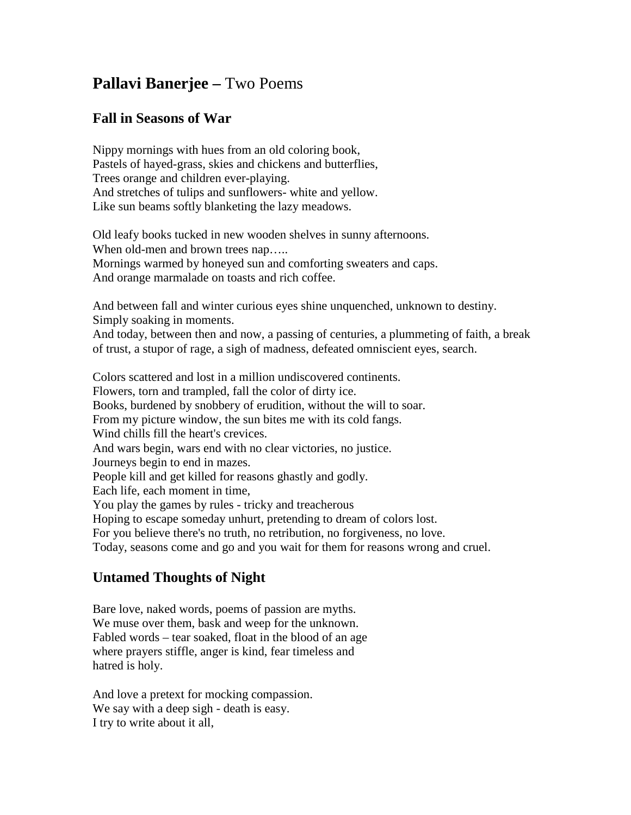## **Pallavi Banerjee –** Two Poems

## **Fall in Seasons of War**

Nippy mornings with hues from an old coloring book, Pastels of hayed-grass, skies and chickens and butterflies, Trees orange and children ever-playing. And stretches of tulips and sunflowers- white and yellow. Like sun beams softly blanketing the lazy meadows.

Old leafy books tucked in new wooden shelves in sunny afternoons. When old-men and brown trees nap..... Mornings warmed by honeyed sun and comforting sweaters and caps. And orange marmalade on toasts and rich coffee.

And between fall and winter curious eyes shine unquenched, unknown to destiny. Simply soaking in moments.

And today, between then and now, a passing of centuries, a plummeting of faith, a break of trust, a stupor of rage, a sigh of madness, defeated omniscient eyes, search.

Colors scattered and lost in a million undiscovered continents. Flowers, torn and trampled, fall the color of dirty ice. Books, burdened by snobbery of erudition, without the will to soar. From my picture window, the sun bites me with its cold fangs. Wind chills fill the heart's crevices. And wars begin, wars end with no clear victories, no justice. Journeys begin to end in mazes. People kill and get killed for reasons ghastly and godly. Each life, each moment in time, You play the games by rules - tricky and treacherous Hoping to escape someday unhurt, pretending to dream of colors lost. For you believe there's no truth, no retribution, no forgiveness, no love. Today, seasons come and go and you wait for them for reasons wrong and cruel.

## **Untamed Thoughts of Night**

Bare love, naked words, poems of passion are myths. We muse over them, bask and weep for the unknown. Fabled words – tear soaked, float in the blood of an age where prayers stiffle, anger is kind, fear timeless and hatred is holy.

And love a pretext for mocking compassion. We say with a deep sigh - death is easy. I try to write about it all,